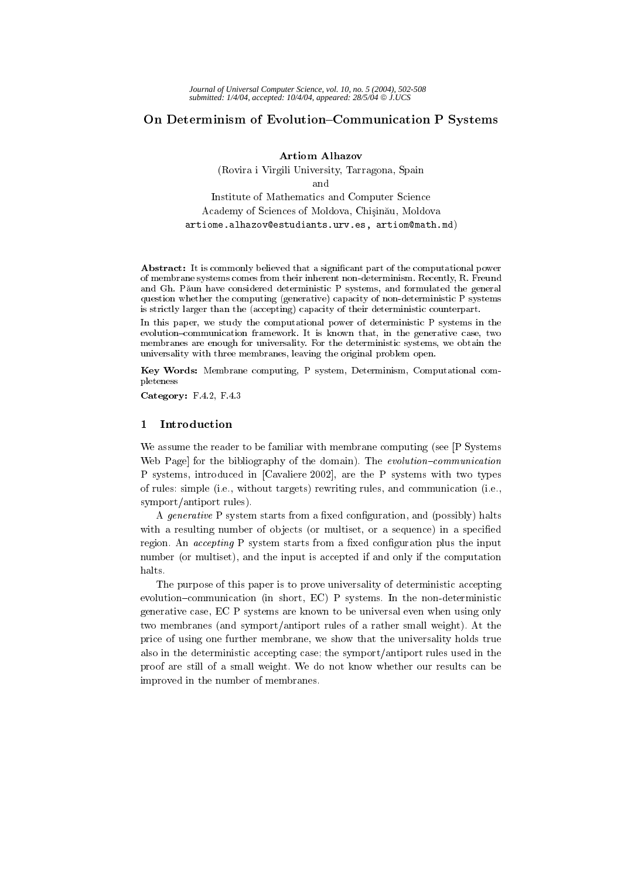# On Determinism of Evolution-Communication P Systems

**Artiom Alhazov** 

(Rovira i Virgili University, Tarragona, Spain and Institute of Mathematics and Computer Science Academy of Sciences of Moldova, Chișinău, Moldova

artiome.alhazov@estudiants.urv.es, artiom@math.md)

**Abstract:** It is commonly believed that a significant part of the computational power of membrane systems comes from their inherent non-determinism. Recently, R. Freund and Gh. Păun have considered deterministic P systems, and formulated the general question whether the computing (generative) capacity of non-deterministic P systems is strictly larger than the (accepting) capacity of their deterministic counterpart.

In this paper, we study the computational power of deterministic P systems in the evolution-communication framework. It is known that, in the generative case, two membranes are enough for universality. For the deterministic systems, we obtain the universality with three membranes, leaving the original problem open.

Key Words: Membrane computing, P system, Determinism, Computational completeness

Category:  $F.4.2$ ,  $F.4.3$ 

#### $\mathbf{1}$ Introduction

We assume the reader to be familiar with membrane computing (see [P Systems] Web Page] for the bibliography of the domain). The evolution-communication P systems, introduced in [Cavaliere 2002], are the P systems with two types of rules: simple (i.e., without targets) rewriting rules, and communication (i.e., symport/antiport rules).

A *generative* P system starts from a fixed configuration, and (possibly) halts with a resulting number of objects (or multiset, or a sequence) in a specified region. An *accepting* P system starts from a fixed configuration plus the input number (or multiset), and the input is accepted if and only if the computation halts.

The purpose of this paper is to prove universality of deterministic accepting evolution-communication (in short, EC) P systems. In the non-deterministic generative case. EC P systems are known to be universal even when using only two membranes (and symport/antiport rules of a rather small weight). At the price of using one further membrane, we show that the universality holds true also in the deterministic accepting case; the symport/antiport rules used in the proof are still of a small weight. We do not know whether our results can be improved in the number of membranes.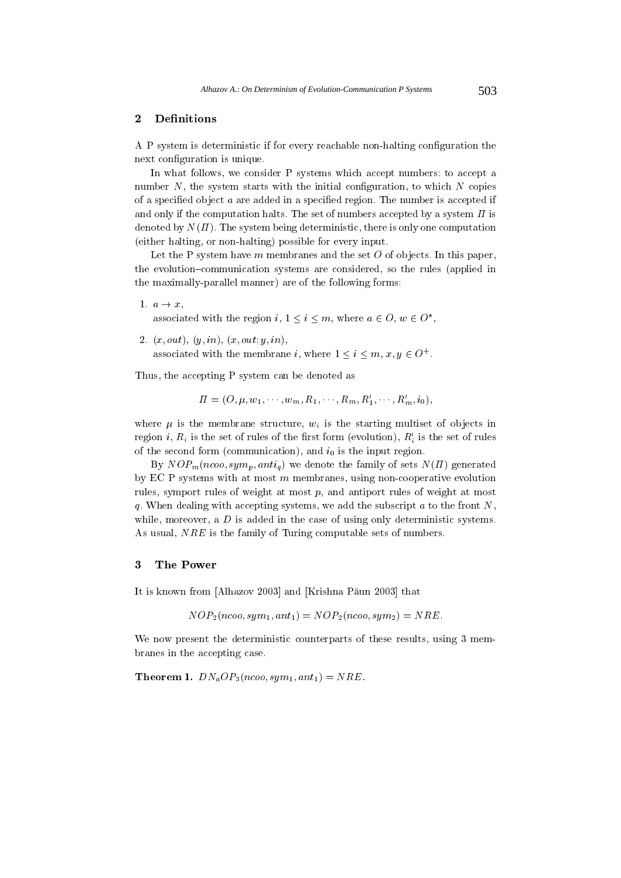#### Definitions  $\boldsymbol{2}$

A P system is deterministic if for every reachable non-halting configuration the next configuration is unique.

In what follows, we consider P systems which accept numbers: to accept a number  $N$ , the system starts with the initial configuration, to which  $N$  copies of a specified object  $a$  are added in a specified region. The number is accepted if and only if the computation halts. The set of numbers accepted by a system  $\Pi$  is denoted by  $N(\Pi)$ . The system being deterministic, there is only one computation (either halting, or non-halting) possible for every input.

Let the P system have  $m$  membranes and the set  $O$  of objects. In this paper, the evolution-communication systems are considered, so the rules (applied in the maximally-parallel manner) are of the following forms:

1.  $a \rightarrow x$ ,

associated with the region i,  $1 \leq i \leq m$ , where  $a \in O$ ,  $w \in O^*$ ,

2.  $(x, out), (y, in), (x, out; y, in),$ 

associated with the membrane i, where  $1 \leq i \leq m$ ,  $x, y \in O^+$ .

Thus, the accepting P system can be denoted as

$$
\Pi = (O, \mu, w_1, \cdots, w_m, R_1, \cdots, R_m, R'_1, \cdots, R'_m, i_0),
$$

where  $\mu$  is the membrane structure,  $w_i$  is the starting multiset of objects in region i,  $R_i$  is the set of rules of the first form (evolution),  $R'_i$  is the set of rules of the second form (communication), and  $i_0$  is the input region.

By  $NOP_m(ncoo, sym_p, anti_q)$  we denote the family of sets  $N(\Pi)$  generated by EC P systems with at most  $m$  membranes, using non-cooperative evolution rules, symport rules of weight at most  $p$ , and antiport rules of weight at most q. When dealing with accepting systems, we add the subscript  $a$  to the front  $N$ , while, moreover, a  $D$  is added in the case of using only deterministic systems. As usual, *NRE* is the family of Turing computable sets of numbers.

### $\overline{\mathbf{3}}$ The Power

It is known from [Alhazov 2003] and [Krishna Păun 2003] that

 $NOP_2(ncoo, sum_1, ant_1) = NOP_2(ncoo, sum_2) = NRE.$ 

We now present the deterministic counterparts of these results, using 3 membranes in the accepting case.

**Theorem 1.**  $DN_aOP_3(ncoo, sym_1, ant_1) = NRE$ .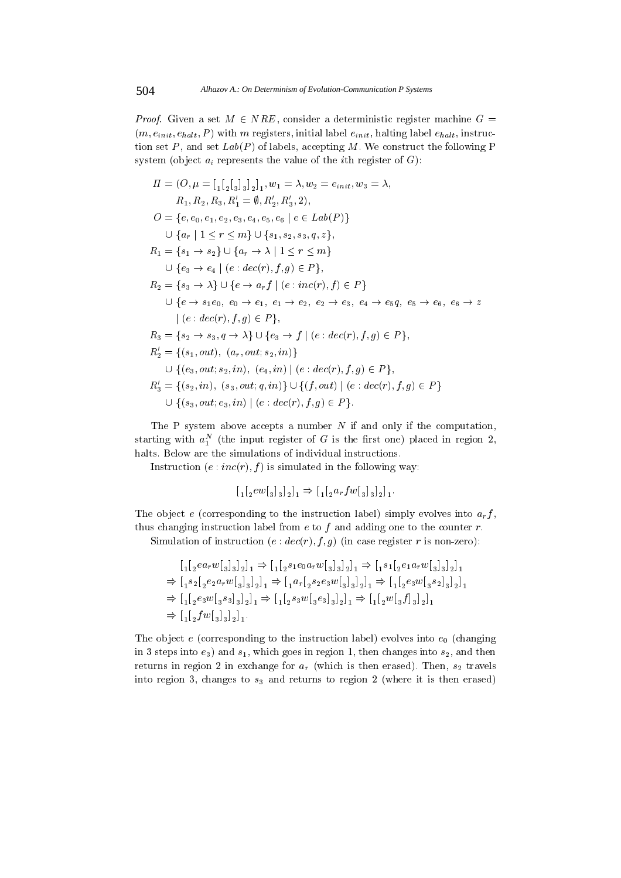*Proof.* Given a set  $M \in NRE$ , consider a deterministic register machine  $G =$  $(m, e_{init}, e_{halt}, P)$  with m registers, initial label  $e_{init}$ , halting label  $e_{halt}$ , instruction set  $P$ , and set  $Lab(P)$  of labels, accepting M. We construct the following P system (object  $a_i$  represents the value of the *i*th register of  $G$ ):

$$
II = (O, \mu = [{}_{1} [{}_{2} [{}_{3}]_{3}]_{2}]_{1}, w_{1} = \lambda, w_{2} = e_{init}, w_{3} = \lambda,
$$
  
\n
$$
R_{1}, R_{2}, R_{3}, R'_{1} = \emptyset, R'_{2}, R'_{3}, 2),
$$
  
\n
$$
O = \{e, e_{0}, e_{1}, e_{2}, e_{3}, e_{4}, e_{5}, e_{6} \mid e \in Lab(P)\}
$$
  
\n
$$
\cup \{a_{r} | 1 \leq r \leq m\} \cup \{s_{1}, s_{2}, s_{3}, q, z\},
$$
  
\n
$$
R_{1} = \{s_{1} \rightarrow s_{2}\} \cup \{a_{r} \rightarrow \lambda | 1 \leq r \leq m\}
$$
  
\n
$$
\cup \{e_{3} \rightarrow e_{4} | (e : dec(r), f, g) \in P\},
$$
  
\n
$$
R_{2} = \{s_{3} \rightarrow \lambda\} \cup \{e \rightarrow a_{r}f | (e : inc(r), f) \in P\}
$$
  
\n
$$
\cup \{e \rightarrow s_{1}e_{0}, e_{0} \rightarrow e_{1}, e_{1} \rightarrow e_{2}, e_{2} \rightarrow e_{3}, e_{4} \rightarrow e_{5}q, e_{5} \rightarrow e_{6}, e_{6} \rightarrow z \in \{e_{5} \rightarrow e_{6}\}, e_{6} \rightarrow z \in \{e_{5} \rightarrow e_{6}\}, e_{6} \rightarrow z \in \{e_{5} \rightarrow e_{6}\}, e_{6} \rightarrow z \in \{e_{5} \rightarrow e_{6}\}, e_{6} \rightarrow z \in \{e_{5} \rightarrow e_{6}\}, e_{6} \rightarrow z \in \{e_{5} \rightarrow e_{6}\}, e_{6} \rightarrow z \in \{e_{5} \rightarrow e_{6}\}, e_{6} \rightarrow z \in \{e_{5} \rightarrow e_{6}\}, e_{6} \rightarrow z \in \{e_{5} \rightarrow e_{6}\}, e_{6} \rightarrow z \in \{e_{5} \rightarrow e_{6}\}, e_{6} \rightarrow z \in \{e_{5} \rightarrow e_{6}\}, e_{6} \rightarrow z \in \{e_{5} \rightarrow e_{6}\}, e_{6} \rightarrow z \in \{e_{5} \rightarrow e_{6}\}, e_{6} \rightarrow z \in \{e_{5} \rightarrow e_{6}\}, e_{6} \rightarrow z \in \{e_{5
$$

The P system above accepts a number  $N$  if and only if the computation, starting with  $a_1^N$  (the input register of G is the first one) placed in region 2, halts. Below are the simulations of individual instructions.

Instruction  $(e:inc(r), f)$  is simulated in the following way:

The object e (corresponding to the instruction label) simply evolves into  $a_r f$ , thus changing instruction label from  $e$  to  $f$  and adding one to the counter  $r$ .

Simulation of instruction  $(e : dec(r), f, g)$  (in case register r is non-zero):

$$
[{}_{1}[{}_{2}ea_rw[_3]_3]_2]_1 \Rightarrow [{}_{1}[{}_{2}s_1e_0a_rw[_3]_3]_2]_1 \Rightarrow [{}_{1}s_1[{}_{2}e_1a_rw[_3]_3]_2]_1
$$
  
\n
$$
\Rightarrow [{}_{1}s_2[{}_{2}e_2a_rw[_3]_3]_2]_1 \Rightarrow [{}_{1}a_r[{}_{2}s_2e_3w[_3]_3]_2]_1 \Rightarrow [{}_{1}[{}_{2}e_3w[_3s_2]_3]_2]_1
$$
  
\n
$$
\Rightarrow [{}_{1}[{}_{2}e_3w[_3s_3]_3]_2]_1 \Rightarrow [{}_{1}[{}_{2}s_3w[_3e_3]_3]_2]_1 \Rightarrow [{}_{1}[{}_{2}w[_3f]_3]_2]_1
$$
  
\n
$$
\Rightarrow [{}_{1}[{}_{2}fw[_3]_3]_2]_1.
$$

The object e (corresponding to the instruction label) evolves into  $e_0$  (changing in 3 steps into  $e_3$ ) and  $s_1$ , which goes in region 1, then changes into  $s_2$ , and then returns in region 2 in exchange for  $a_r$  (which is then erased). Then,  $s_2$  travels into region 3, changes to  $s_3$  and returns to region 2 (where it is then erased)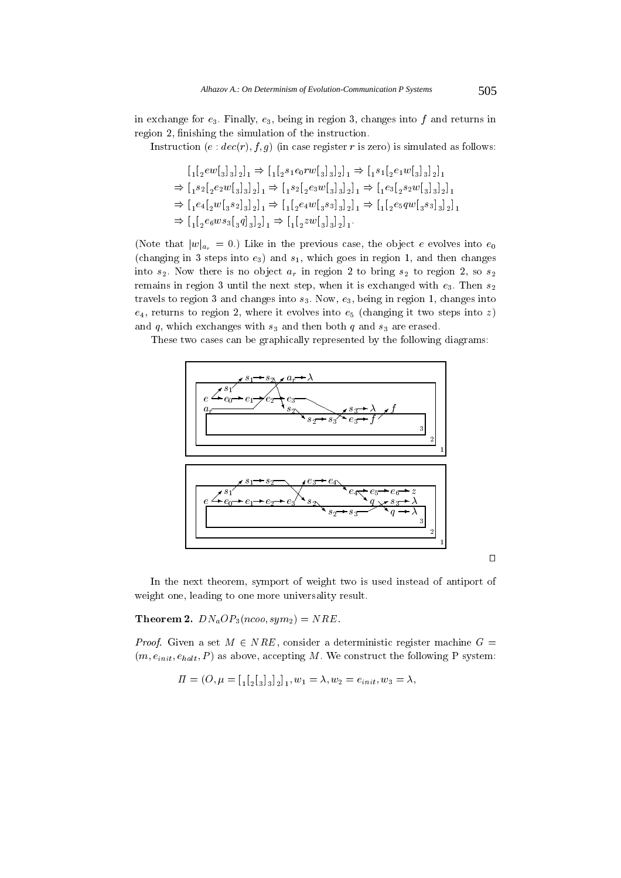in exchange for  $e_3$ . Finally,  $e_3$ , being in region 3, changes into f and returns in region 2, finishing the simulation of the instruction.

Instruction (e:  $dec(r), f, g$ ) (in case register r is zero) is simulated as follows:

$$
\begin{aligned} &[\,_1\![\,{}_2\!e w[\,{}_3\!]\,{}_3\!]\,{}_2\!]\,{}_1 \Rightarrow [\,_1\![\,{}_2\!s_1\!e_0\!r w[\,{}_3\!]\,{}_3\!]\,{}_2\!]\,{}_1 \Rightarrow [\,_1\!s_1[\,{}_2\!e_1\!w[\,{}_3\!]\,{}_3\!]\,{}_2\!]\,{}_1 \\ & \Rightarrow [\,_1\!s_2[\,{}_2\!e_2\!w[\,{}_3\!]\,{}_3\!]\,{}_2\!]\,{}_1 \Rightarrow [\,_1\!s_2[\,{}_2\!e_3\!w[\,{}_3\!]\,{}_3\!]\,{}_2\!]\,{}_1 \Rightarrow [\,_1\!e_3[\,{}_2\!s_2\!w[\,{}_3\!]\,{}_3\!]\,{}_2\!]\,{}_1 \\ & \Rightarrow [\,_1\!e_4[\,{}_2\!w[\,{}_3\!s_2]\,{}_3\!]\,{}_2\!]\,{}_1 \Rightarrow [\,_1\![\,{}_2\!e_4\!w[\,{}_3\!s_3]\,{}_3\!]\,{}_2\!]\,{}_1 \Rightarrow [\,_1\![\,{}_2\!e_5\!q w[\,{}_3\!s_3]\,{}_3\!]\,{}_2\!]\,{}_1 \\ & \Rightarrow [\,_1\![\,{}_2\!e_6\!w s_3[\,{}_3\!q]\,{}_3\!]\,{}_2\!]\,{}_1 \Rightarrow [\,_1\![\,{}_2\!z\!w[\,{}_3\!]\,{}_3\!]\,{}_2\!]\,{}_1 \,. \end{aligned}
$$

(Note that  $|w|_{a_r} = 0$ .) Like in the previous case, the object e evolves into  $e_0$ (changing in 3 steps into  $e_3$ ) and  $s_1$ , which goes in region 1, and then changes into  $s_2$ . Now there is no object  $a_r$  in region 2 to bring  $s_2$  to region 2, so  $s_2$ remains in region 3 until the next step, when it is exchanged with  $e_3$ . Then  $s_2$ travels to region 3 and changes into  $s_3$ . Now,  $e_3$ , being in region 1, changes into  $e_4$ , returns to region 2, where it evolves into  $e_5$  (changing it two steps into z) and q, which exchanges with  $s_3$  and then both q and  $s_3$  are erased.

These two cases can be graphically represented by the following diagrams:



In the next theorem, symport of weight two is used instead of antiport of weight one, leading to one more universality result.

**Theorem 2.**  $DN_aOP_3(ncoo, sym_2) = NRE$ .

*Proof.* Given a set  $M \in NRE$ , consider a deterministic register machine  $G =$  $(m, e_{init}, e_{halt}, P)$  as above, accepting M. We construct the following P system:

$$
\Pi = (O, \mu = \left[\begin{matrix} 1 \\ 2 \end{matrix}\right]_{3} \left[\begin{matrix} 1 \\ 2 \end{matrix}\right]_{1}, w_{1} = \lambda, w_{2} = e_{init}, w_{3} = \lambda,
$$

 $\Box$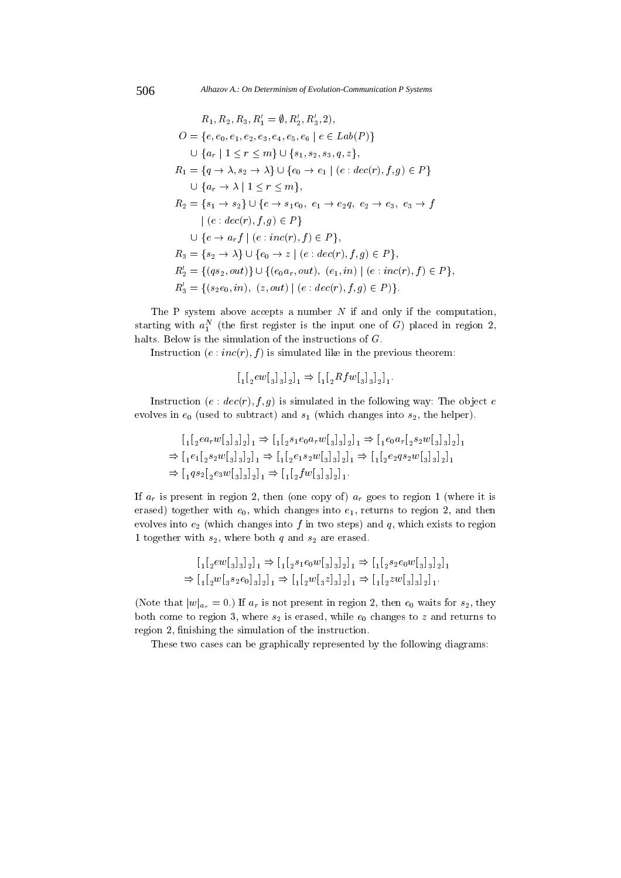$$
R_1, R_2, R_3, R'_1 = \emptyset, R'_2, R'_3, 2),
$$
  
\n
$$
O = \{e, e_0, e_1, e_2, e_3, e_4, e_5, e_6 \mid e \in Lab(P)\}
$$
  
\n
$$
\cup \{a_r \mid 1 \leq r \leq m\} \cup \{s_1, s_2, s_3, q, z\},
$$
  
\n
$$
R_1 = \{q \to \lambda, s_2 \to \lambda\} \cup \{e_0 \to e_1 \mid (e : dec(r), f, g) \in P\}
$$
  
\n
$$
\cup \{a_r \to \lambda \mid 1 \leq r \leq m\},
$$
  
\n
$$
R_2 = \{s_1 \to s_2\} \cup \{e \to s_1e_0, e_1 \to e_2q, e_2 \to e_3, e_3 \to f
$$
  
\n
$$
\mid (e : dec(r), f, g) \in P\}
$$
  
\n
$$
\cup \{e \to a_r f \mid (e : inc(r), f) \in P\},
$$
  
\n
$$
R_3 = \{s_2 \to \lambda\} \cup \{e_0 \to z \mid (e : dec(r), f, g) \in P\},
$$
  
\n
$$
R'_2 = \{(qs_2, out)\} \cup \{(e_0a_r, out), (e_1, in) \mid (e : inc(r), f) \in P\},
$$
  
\n
$$
R'_3 = \{(s_2e_0, in), (z, out) \mid (e : dec(r), f, g) \in P\}.
$$

The P system above accepts a number  $N$  if and only if the computation, starting with  $a_1^N$  (the first register is the input one of G) placed in region 2, halts. Below is the simulation of the instructions of  $G$ .

Instruction  $(e : inc(r), f)$  is simulated like in the previous theorem:

$$
\left[\begin{smallmatrix}&1\\1\end{smallmatrix}\right]_{2}ew\left[\begin{smallmatrix}&1\\3\end{smallmatrix}\right]_{3}\right]_{2}\right]_{1} \Rightarrow \left[\begin{smallmatrix}&1\\1\end{smallmatrix}\right]_{2}Rfw\left[\begin{smallmatrix}&1\\3\end{smallmatrix}\right]_{3}\right]_{2}\right]_{1}.
$$

Instruction (e:  $dec(r), f, g$ ) is simulated in the following way: The object e evolves in  $e_0$  (used to subtract) and  $s_1$  (which changes into  $s_2$ , the helper).

$$
\begin{aligned} &\left[\, {}_{1}[\,{}_{2}ea_{r}w[\,{}_{3}]\,{}_{3}]\,{}_{2}\right]_{1}\Rightarrow \left[\, {}_{1}[\,{}_{2} s_{1} e_{0} a_{r} w[\,{}_{3}]\,{}_{3}]\,{}_{2}\right]_{1}\Rightarrow \left[\, {}_{1}e_{0}a_{r}[\,{}_{2} s_{2} w[\,{}_{3}]\,{}_{3}]\,{}_{2}\right]_{1}\\ \Rightarrow \left[\, {}_{1}e_{1}[\,{}_{2} s_{2} w[\,{}_{3}]\,{}_{3}]\,{}_{2}\right]_{1}\Rightarrow \left[\, {}_{1}[\,{}_{2}e_{1} s_{2} w[\,{}_{3}]\,{}_{3}]\,{}_{2}\right]_{1}\Rightarrow \left[\, {}_{1}[\,{}_{2}e_{2}qs_{2} w[\,{}_{3}]\,{}_{3}]\,{}_{2}\right]_{1}\\ \Rightarrow \left[\, {}_{1}q s_{2}[\,{}_{2}e_{3} w[\,{}_{3}]\,{}_{3}]\,{}_{2}\right]_{1}\Rightarrow \left[\, {}_{1}[\,{}_{2}f w[\,{}_{3}]\,{}_{3}]\,{}_{2}\right]_{1}. \end{aligned}
$$

If  $a_r$  is present in region 2, then (one copy of)  $a_r$  goes to region 1 (where it is erased) together with  $e_0$ , which changes into  $e_1$ , returns to region 2, and then evolves into  $e_2$  (which changes into f in two steps) and q, which exists to region 1 together with  $s_2$ , where both  $q$  and  $s_2$  are erased.

$$
\begin{aligned} &\left[\begin{smallmatrix}1 \end{smallmatrix}\left[_{2}ev\right[_{3}]_{3}\right]_{2}\right]_{1} \Rightarrow \left[\begin{smallmatrix}1 \end{smallmatrix}\left[_{2} s_{1} e_{0} w\right[_{3}]_{3}\right]_{2}\right]_{1} \Rightarrow \left[\begin{smallmatrix}1 \end{smallmatrix}\left[_{2} s_{2} e_{0} w\right[_{3}]_{3}\right]_{2}\right]_{1} \\ \Rightarrow \left[\begin{smallmatrix}1 \end{smallmatrix}\left[_{2}w\right[_{3} s_{2} e_{0}]_{3}\right]_{2}\right]_{1} \Rightarrow \left[\begin{smallmatrix}1 \end{smallmatrix}\left[_{2}w\right[_{3} s]_{3}\right]_{2}\right]_{1} \Rightarrow \left[\begin{smallmatrix}1 \end{smallmatrix}\left[_{2}z w\right[_{3}]_{3}\right]_{2}\right]_{1}. \end{aligned}
$$

(Note that  $|w|_{a_r} = 0$ .) If  $a_r$  is not present in region 2, then  $e_0$  waits for  $s_2$ , they both come to region 3, where  $s_2$  is erased, while  $e_0$  changes to z and returns to region 2, finishing the simulation of the instruction.

These two cases can be graphically represented by the following diagrams:

506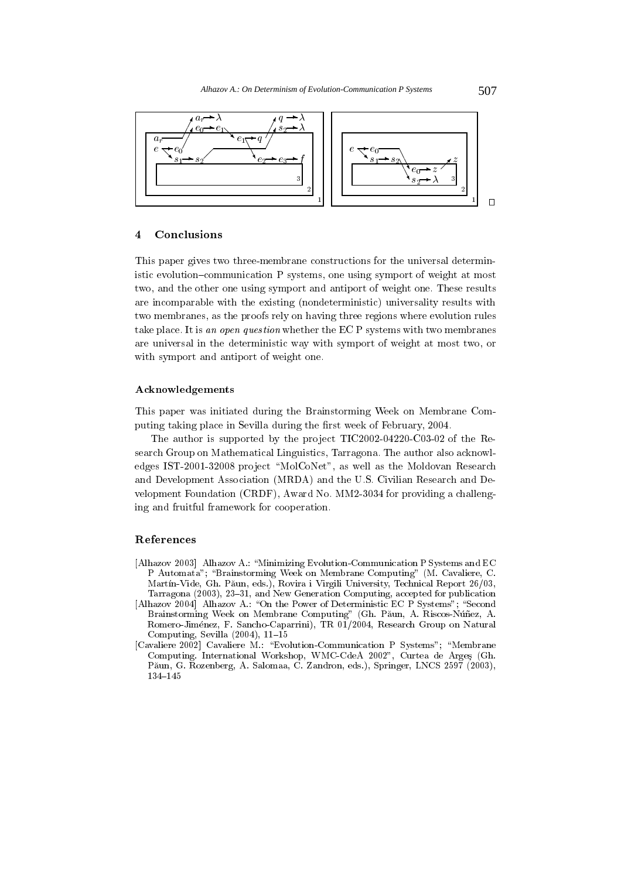

### $\overline{\mathbf{4}}$ Conclusions

This paper gives two three-membrane constructions for the universal deterministic evolution-communication P systems, one using symport of weight at most two, and the other one using symport and antiport of weight one. These results are incomparable with the existing (nondeterministic) universality results with two membranes, as the proofs rely on having three regions where evolution rules take place. It is an open question whether the EC P systems with two membranes are universal in the deterministic way with symport of weight at most two, or with symport and antiport of weight one.

# Acknowledgements

This paper was initiated during the Brainstorming Week on Membrane Computing taking place in Sevilla during the first week of February, 2004.

The author is supported by the project TIC2002-04220-C03-02 of the Research Group on Mathematical Linguistics, Tarragona. The author also acknowledges IST-2001-32008 project "MolCoNet", as well as the Moldovan Research and Development Association (MRDA) and the U.S. Civilian Research and Development Foundation (CRDF), Award No. MM2-3034 for providing a challenging and fruitful framework for cooperation.

## References

- [Alhazov 2003] Alhazov A.: "Minimizing Evolution-Communication P Systems and EC P Automata"; "Brainstorming Week on Membrane Computing" (M. Cavaliere, C. Martín-Vide, Gh. Păun, eds.), Rovira i Virgili University, Technical Report 26/03, Tarragona (2003), 23-31, and New Generation Computing, accepted for publication
- [Alhazov 2004] Alhazov A.: "On the Power of Deterministic EC P Systems"; "Second Brainstorming Week on Membrane Computing" (Gh. Păun, A. Riscos-Núñez, A. Romero-Jiménez, F. Sancho-Caparrini), TR 01/2004, Research Group on Natural Computing, Sevilla  $(2004)$ , 11-15
- [Cavaliere 2002] Cavaliere M.: "Evolution-Communication P Systems"; "Membrane Computing. International Workshop, WMC-CdeA 2002", Curtea de Arges (Gh. Păun, G. Rozenberg, A. Salomaa, C. Zandron, eds.), Springer, LNCS 2597 (2003),  $134 - 145$

507